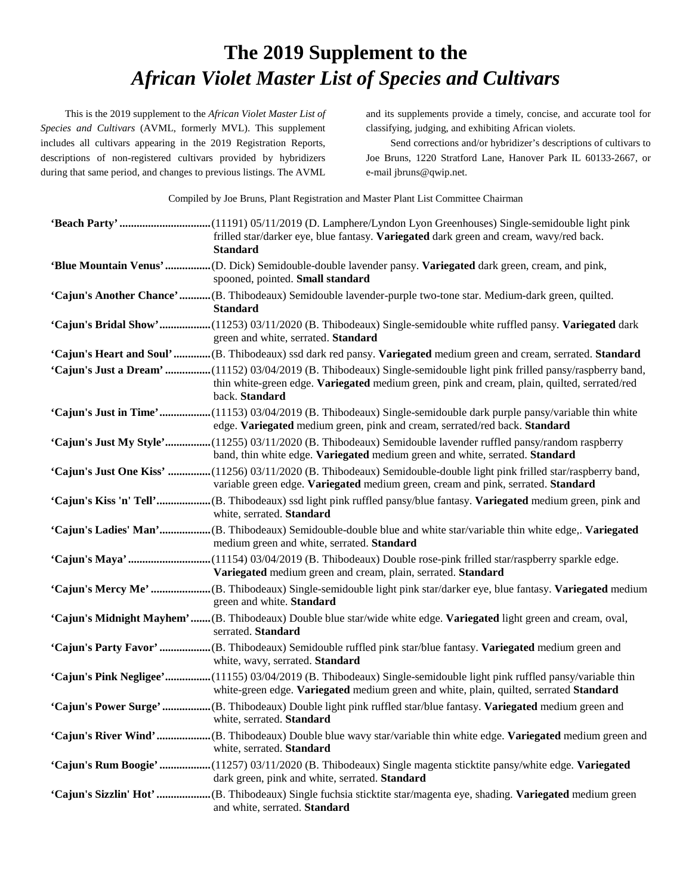## **The 2019 Supplement to the**  *African Violet Master List of Species and Cultivars*

This is the 2019 supplement to the *African Violet Master List of Species and Cultivars* (AVML, formerly MVL). This supplement includes all cultivars appearing in the 2019 Registration Reports, descriptions of non-registered cultivars provided by hybridizers during that same period, and changes to previous listings. The AVML and its supplements provide a timely, concise, and accurate tool for classifying, judging, and exhibiting African violets.

Send corrections and/or hybridizer's descriptions of cultivars to Joe Bruns, 1220 Stratford Lane, Hanover Park IL 60133-2667, or e-mail jbruns@qwip.net.

Compiled by Joe Bruns, Plant Registration and Master Plant List Committee Chairman

| frilled star/darker eye, blue fantasy. Variegated dark green and cream, wavy/red back.<br><b>Standard</b>                                                                                                                              |
|----------------------------------------------------------------------------------------------------------------------------------------------------------------------------------------------------------------------------------------|
| spooned, pointed. Small standard                                                                                                                                                                                                       |
| 'Cajun's Another Chance'(B. Thibodeaux) Semidouble lavender-purple two-tone star. Medium-dark green, quilted.<br><b>Standard</b>                                                                                                       |
| 'Cajun's Bridal Show'(11253) 03/11/2020 (B. Thibodeaux) Single-semidouble white ruffled pansy. Variegated dark<br>green and white, serrated. Standard                                                                                  |
| 'Cajun's Heart and Soul'(B. Thibodeaux) ssd dark red pansy. Variegated medium green and cream, serrated. Standard                                                                                                                      |
| 'Cajun's Just a Dream' (11152) 03/04/2019 (B. Thibodeaux) Single-semidouble light pink frilled pansy/raspberry band,<br>thin white-green edge. Variegated medium green, pink and cream, plain, quilted, serrated/red<br>back. Standard |
| 'Cajun's Just in Time'(11153) 03/04/2019 (B. Thibodeaux) Single-semidouble dark purple pansy/variable thin white<br>edge. Variegated medium green, pink and cream, serrated/red back. Standard                                         |
| 'Cajun's Just My Style'(11255) 03/11/2020 (B. Thibodeaux) Semidouble lavender ruffled pansy/random raspberry<br>band, thin white edge. Variegated medium green and white, serrated. Standard                                           |
| 'Cajun's Just One Kiss' (11256) 03/11/2020 (B. Thibodeaux) Semidouble-double light pink frilled star/raspberry band,<br>variable green edge. Variegated medium green, cream and pink, serrated. Standard                               |
| white, serrated. Standard                                                                                                                                                                                                              |
| medium green and white, serrated. Standard                                                                                                                                                                                             |
| Variegated medium green and cream, plain, serrated. Standard                                                                                                                                                                           |
| green and white. Standard                                                                                                                                                                                                              |
| 'Cajun's Midnight Mayhem'(B. Thibodeaux) Double blue star/wide white edge. Variegated light green and cream, oval,<br>serrated. Standard                                                                                               |
| 'Cajun's Party Favor'  (B. Thibodeaux) Semidouble ruffled pink star/blue fantasy. Variegated medium green and<br>white, wavy, serrated. Standard                                                                                       |
| 'Cajun's Pink Negligee'(11155) 03/04/2019 (B. Thibodeaux) Single-semidouble light pink ruffled pansy/variable thin<br>white-green edge. Variegated medium green and white, plain, quilted, serrated Standard                           |
| 'Cajun's Power Surge'  (B. Thibodeaux) Double light pink ruffled star/blue fantasy. Variegated medium green and<br>white, serrated. Standard                                                                                           |
| white, serrated. Standard                                                                                                                                                                                                              |
| 'Cajun's Rum Boogie' (11257) 03/11/2020 (B. Thibodeaux) Single magenta sticktite pansy/white edge. Variegated<br>dark green, pink and white, serrated. Standard                                                                        |
| and white, serrated. Standard                                                                                                                                                                                                          |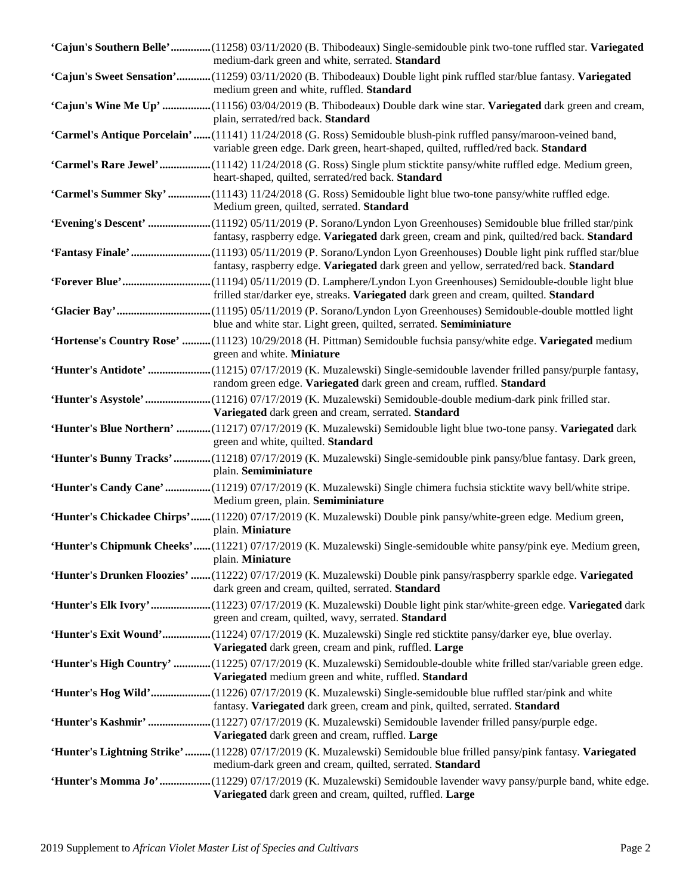| 'Cajun's Southern Belle'(11258) 03/11/2020 (B. Thibodeaux) Single-semidouble pink two-tone ruffled star. Variegated<br>medium-dark green and white, serrated. Standard                                     |
|------------------------------------------------------------------------------------------------------------------------------------------------------------------------------------------------------------|
| 'Cajun's Sweet Sensation'(11259) 03/11/2020 (B. Thibodeaux) Double light pink ruffled star/blue fantasy. Variegated<br>medium green and white, ruffled. Standard                                           |
| 'Cajun's Wine Me Up' (11156) 03/04/2019 (B. Thibodeaux) Double dark wine star. Variegated dark green and cream,<br>plain, serrated/red back. Standard                                                      |
| 'Carmel's Antique Porcelain'  (11141) 11/24/2018 (G. Ross) Semidouble blush-pink ruffled pansy/maroon-veined band,<br>variable green edge. Dark green, heart-shaped, quilted, ruffled/red back. Standard   |
| 'Carmel's Rare Jewel' (11142) 11/24/2018 (G. Ross) Single plum sticktite pansy/white ruffled edge. Medium green,<br>heart-shaped, quilted, serrated/red back. Standard                                     |
| 'Carmel's Summer Sky' (11143) 11/24/2018 (G. Ross) Semidouble light blue two-tone pansy/white ruffled edge.<br>Medium green, quilted, serrated. Standard                                                   |
| 'Evening's Descent' (11192) 05/11/2019 (P. Sorano/Lyndon Lyon Greenhouses) Semidouble blue frilled star/pink<br>fantasy, raspberry edge. Variegated dark green, cream and pink, quilted/red back. Standard |
| 'Fantasy Finale'(11193) 05/11/2019 (P. Sorano/Lyndon Lyon Greenhouses) Double light pink ruffled star/blue<br>fantasy, raspberry edge. Variegated dark green and yellow, serrated/red back. Standard       |
| 'Forever Blue'(11194) 05/11/2019 (D. Lamphere/Lyndon Lyon Greenhouses) Semidouble-double light blue<br>frilled star/darker eye, streaks. Variegated dark green and cream, quilted. Standard                |
| blue and white star. Light green, quilted, serrated. Semiminiature                                                                                                                                         |
| 'Hortense's Country Rose' (11123) 10/29/2018 (H. Pittman) Semidouble fuchsia pansy/white edge. Variegated medium<br>green and white. Miniature                                                             |
| 'Hunter's Antidote' (11215) 07/17/2019 (K. Muzalewski) Single-semidouble lavender frilled pansy/purple fantasy,<br>random green edge. Variegated dark green and cream, ruffled. Standard                   |
| 'Hunter's Asystole'(11216) 07/17/2019 (K. Muzalewski) Semidouble-double medium-dark pink frilled star.<br>Variegated dark green and cream, serrated. Standard                                              |
| 'Hunter's Blue Northern' (11217) 07/17/2019 (K. Muzalewski) Semidouble light blue two-tone pansy. Variegated dark<br>green and white, quilted. Standard                                                    |
| 'Hunter's Bunny Tracks' (11218) 07/17/2019 (K. Muzalewski) Single-semidouble pink pansy/blue fantasy. Dark green,<br>plain. Semiminiature                                                                  |
| 'Hunter's Candy Cane'(11219) 07/17/2019 (K. Muzalewski) Single chimera fuchsia sticktite wavy bell/white stripe.<br>Medium green, plain. Semiminiature                                                     |
| 'Hunter's Chickadee Chirps'(11220) 07/17/2019 (K. Muzalewski) Double pink pansy/white-green edge. Medium green,<br>plain. Miniature                                                                        |
| 'Hunter's Chipmunk Cheeks'(11221) 07/17/2019 (K. Muzalewski) Single-semidouble white pansy/pink eye. Medium green,<br>plain. Miniature                                                                     |
| 'Hunter's Drunken Floozies' (11222) 07/17/2019 (K. Muzalewski) Double pink pansy/raspberry sparkle edge. Variegated<br>dark green and cream, quilted, serrated. Standard                                   |
| 'Hunter's Elk Ivory'(11223) 07/17/2019 (K. Muzalewski) Double light pink star/white-green edge. Variegated dark<br>green and cream, quilted, wavy, serrated. Standard                                      |
| 'Hunter's Exit Wound'(11224) 07/17/2019 (K. Muzalewski) Single red sticktite pansy/darker eye, blue overlay.<br>Variegated dark green, cream and pink, ruffled. Large                                      |
| 'Hunter's High Country' (11225) 07/17/2019 (K. Muzalewski) Semidouble-double white frilled star/variable green edge.<br>Variegated medium green and white, ruffled. Standard                               |
| 'Hunter's Hog Wild'(11226) 07/17/2019 (K. Muzalewski) Single-semidouble blue ruffled star/pink and white<br>fantasy. Variegated dark green, cream and pink, quilted, serrated. Standard                    |
| 'Hunter's Kashmir' (11227) 07/17/2019 (K. Muzalewski) Semidouble lavender frilled pansy/purple edge.<br>Variegated dark green and cream, ruffled. Large                                                    |
| 'Hunter's Lightning Strike' (11228) 07/17/2019 (K. Muzalewski) Semidouble blue frilled pansy/pink fantasy. Variegated<br>medium-dark green and cream, quilted, serrated. Standard                          |
| 'Hunter's Momma Jo'(11229) 07/17/2019 (K. Muzalewski) Semidouble lavender wavy pansy/purple band, white edge.<br>Variegated dark green and cream, quilted, ruffled. Large                                  |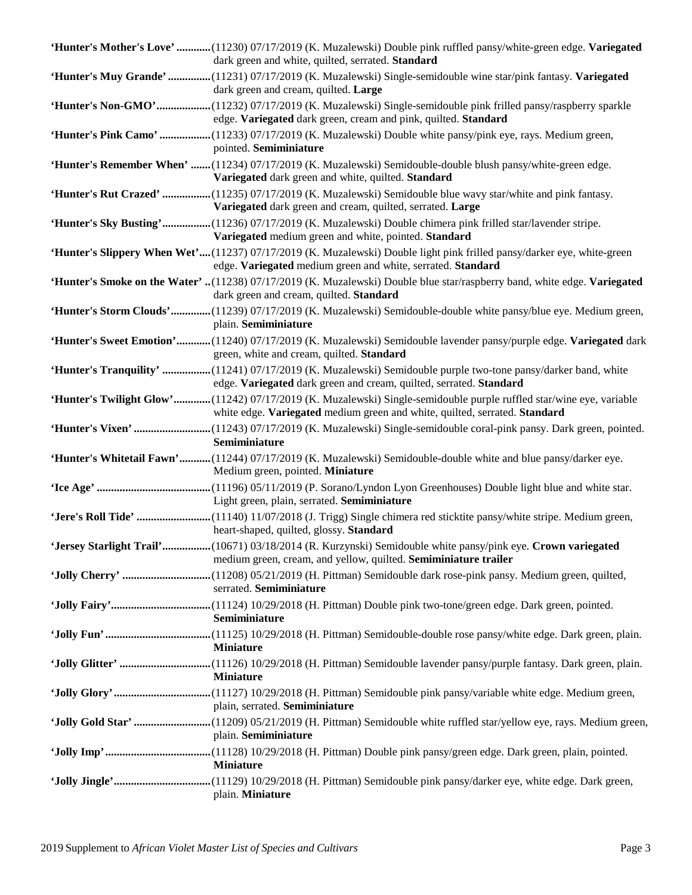| 'Hunter's Mother's Love' (11230) 07/17/2019 (K. Muzalewski) Double pink ruffled pansy/white-green edge. Variegated<br>dark green and white, quilted, serrated. Standard                           |
|---------------------------------------------------------------------------------------------------------------------------------------------------------------------------------------------------|
| 'Hunter's Muy Grande' (11231) 07/17/2019 (K. Muzalewski) Single-semidouble wine star/pink fantasy. Variegated<br>dark green and cream, quilted. Large                                             |
| 'Hunter's Non-GMO'(11232) 07/17/2019 (K. Muzalewski) Single-semidouble pink frilled pansy/raspberry sparkle<br>edge. Variegated dark green, cream and pink, quilted. Standard                     |
| 'Hunter's Pink Camo' (11233) 07/17/2019 (K. Muzalewski) Double white pansy/pink eye, rays. Medium green,<br>pointed. Semiminiature                                                                |
| 'Hunter's Remember When' (11234) 07/17/2019 (K. Muzalewski) Semidouble-double blush pansy/white-green edge.<br>Variegated dark green and white, quilted. Standard                                 |
| 'Hunter's Rut Crazed' (11235) 07/17/2019 (K. Muzalewski) Semidouble blue wavy star/white and pink fantasy.<br>Variegated dark green and cream, quilted, serrated. Large                           |
| 'Hunter's Sky Busting'(11236) 07/17/2019 (K. Muzalewski) Double chimera pink frilled star/lavender stripe.<br>Variegated medium green and white, pointed. Standard                                |
| 'Hunter's Slippery When Wet'(11237) 07/17/2019 (K. Muzalewski) Double light pink frilled pansy/darker eye, white-green<br>edge. Variegated medium green and white, serrated. Standard             |
| 'Hunter's Smoke on the Water' (11238) 07/17/2019 (K. Muzalewski) Double blue star/raspberry band, white edge. Variegated<br>dark green and cream, quilted. Standard                               |
| 'Hunter's Storm Clouds'(11239) 07/17/2019 (K. Muzalewski) Semidouble-double white pansy/blue eye. Medium green,<br>plain. Semiminiature                                                           |
| 'Hunter's Sweet Emotion'(11240) 07/17/2019 (K. Muzalewski) Semidouble lavender pansy/purple edge. Variegated dark<br>green, white and cream, quilted. Standard                                    |
| 'Hunter's Tranquility' (11241) 07/17/2019 (K. Muzalewski) Semidouble purple two-tone pansy/darker band, white<br>edge. Variegated dark green and cream, quilted, serrated. Standard               |
| 'Hunter's Twilight Glow'(11242) 07/17/2019 (K. Muzalewski) Single-semidouble purple ruffled star/wine eye, variable<br>white edge. Variegated medium green and white, quilted, serrated. Standard |
|                                                                                                                                                                                                   |
| Semiminiature                                                                                                                                                                                     |
| 'Hunter's Whitetail Fawn'(11244) 07/17/2019 (K. Muzalewski) Semidouble-double white and blue pansy/darker eye.<br>Medium green, pointed. Miniature                                                |
| Light green, plain, serrated. Semiminiature                                                                                                                                                       |
| heart-shaped, quilted, glossy. Standard                                                                                                                                                           |
| 'Jersey Starlight Trail'(10671) 03/18/2014 (R. Kurzynski) Semidouble white pansy/pink eye. Crown variegated<br>medium green, cream, and yellow, quilted. Semiminiature trailer                    |
| serrated. Semiminiature                                                                                                                                                                           |
| Semiminiature                                                                                                                                                                                     |
| <b>Miniature</b>                                                                                                                                                                                  |
| <b>Miniature</b>                                                                                                                                                                                  |
| plain, serrated. Semiminiature                                                                                                                                                                    |
| 'Jolly Gold Star' (11209) 05/21/2019 (H. Pittman) Semidouble white ruffled star/yellow eye, rays. Medium green,<br>plain. Semiminiature                                                           |
| <b>Miniature</b>                                                                                                                                                                                  |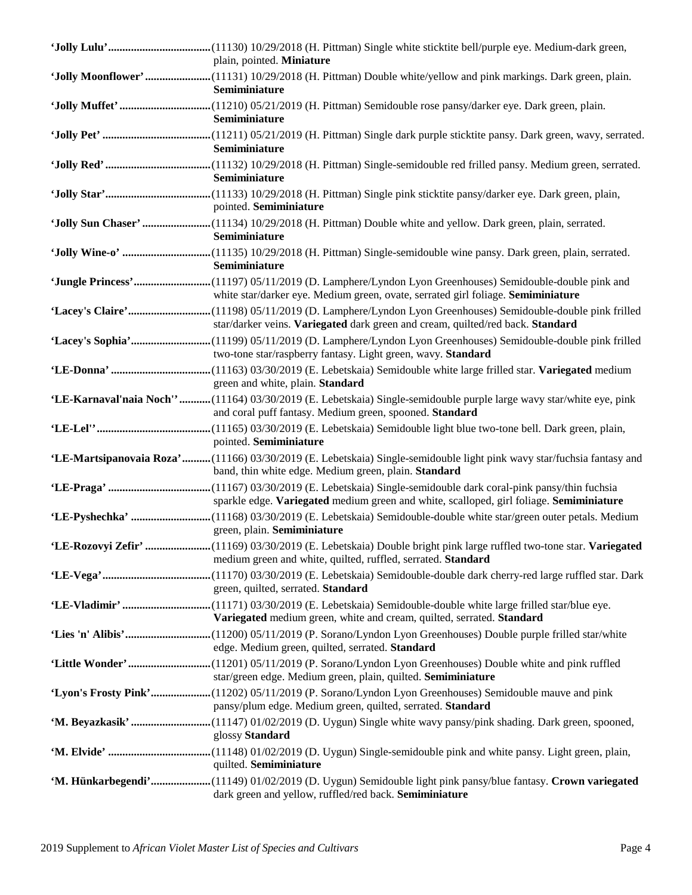| plain, pointed. Miniature                                                                                                                                                                      |
|------------------------------------------------------------------------------------------------------------------------------------------------------------------------------------------------|
| Semiminiature                                                                                                                                                                                  |
| Semiminiature                                                                                                                                                                                  |
| Semiminiature                                                                                                                                                                                  |
| Semiminiature                                                                                                                                                                                  |
| pointed. Semiminiature                                                                                                                                                                         |
| 'Jolly Sun Chaser' (11134) 10/29/2018 (H. Pittman) Double white and yellow. Dark green, plain, serrated.<br>Semiminiature                                                                      |
| Semiminiature                                                                                                                                                                                  |
| 'Jungle Princess'(11197) 05/11/2019 (D. Lamphere/Lyndon Lyon Greenhouses) Semidouble-double pink and<br>white star/darker eye. Medium green, ovate, serrated girl foliage. Semiminiature       |
| star/darker veins. Variegated dark green and cream, quilted/red back. Standard                                                                                                                 |
| two-tone star/raspberry fantasy. Light green, wavy. Standard                                                                                                                                   |
| green and white, plain. Standard                                                                                                                                                               |
| 'LE-Karnaval'naia Noch'' (11164) 03/30/2019 (E. Lebetskaia) Single-semidouble purple large wavy star/white eye, pink<br>and coral puff fantasy. Medium green, spooned. Standard                |
| pointed. Semiminiature<br>'LE-Martsipanovaia Roza'(11166) 03/30/2019 (E. Lebetskaia) Single-semidouble light pink wavy star/fuchsia fantasy and                                                |
| band, thin white edge. Medium green, plain. Standard                                                                                                                                           |
| sparkle edge. Variegated medium green and white, scalloped, girl foliage. Semiminiature                                                                                                        |
| green, plain. Semiminiature<br>'LE-Rozovyi Zefir' (11169) 03/30/2019 (E. Lebetskaia) Double bright pink large ruffled two-tone star. Variegated                                                |
| medium green and white, quilted, ruffled, serrated. Standard                                                                                                                                   |
| green, quilted, serrated. Standard                                                                                                                                                             |
| Variegated medium green, white and cream, quilted, serrated. Standard                                                                                                                          |
| edge. Medium green, quilted, serrated. Standard                                                                                                                                                |
| star/green edge. Medium green, plain, quilted. Semiminiature<br>'Lyon's Frosty Pink'(11202) 05/11/2019 (P. Sorano/Lyndon Lyon Greenhouses) Semidouble mauve and pink                           |
| pansy/plum edge. Medium green, quilted, serrated. Standard                                                                                                                                     |
| glossy Standard                                                                                                                                                                                |
| quilted. Semiminiature<br>'M. Hünkarbegendi'(11149) 01/02/2019 (D. Uygun) Semidouble light pink pansy/blue fantasy. Crown variegated<br>dark green and yellow, ruffled/red back. Semiminiature |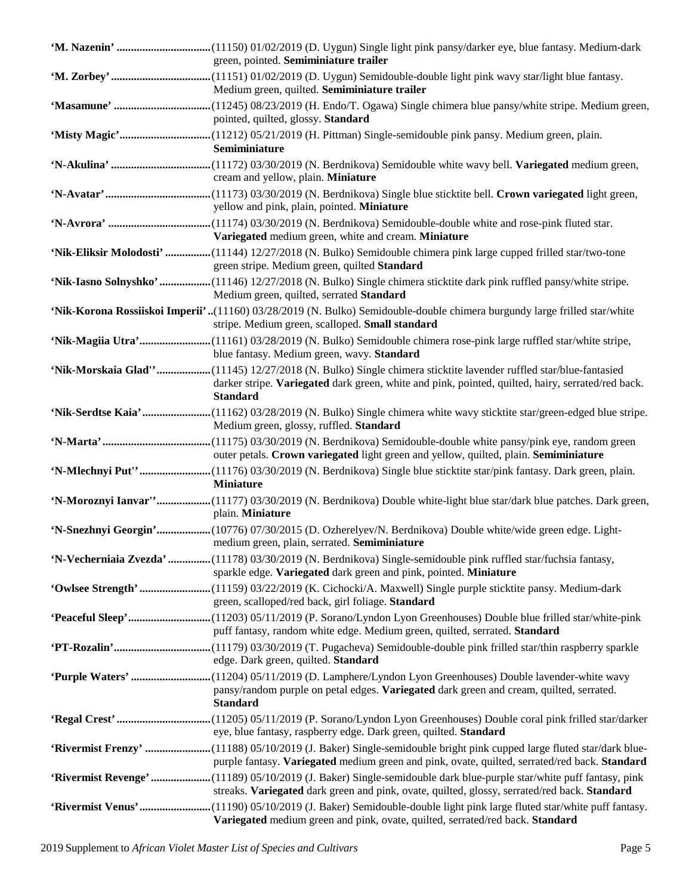| green, pointed. Semiminiature trailer                                                                                                                                                                               |
|---------------------------------------------------------------------------------------------------------------------------------------------------------------------------------------------------------------------|
|                                                                                                                                                                                                                     |
| Medium green, quilted. Semiminiature trailer                                                                                                                                                                        |
|                                                                                                                                                                                                                     |
| pointed, quilted, glossy. Standard                                                                                                                                                                                  |
|                                                                                                                                                                                                                     |
| Semiminiature                                                                                                                                                                                                       |
|                                                                                                                                                                                                                     |
| cream and yellow, plain. Miniature                                                                                                                                                                                  |
|                                                                                                                                                                                                                     |
| yellow and pink, plain, pointed. Miniature                                                                                                                                                                          |
|                                                                                                                                                                                                                     |
| Variegated medium green, white and cream. Miniature                                                                                                                                                                 |
| 'Nik-Eliksir Molodosti' (11144) 12/27/2018 (N. Bulko) Semidouble chimera pink large cupped frilled star/two-tone                                                                                                    |
| green stripe. Medium green, quilted Standard                                                                                                                                                                        |
| 'Nik-Iasno Solnyshko' (11146) 12/27/2018 (N. Bulko) Single chimera sticktite dark pink ruffled pansy/white stripe.                                                                                                  |
| Medium green, quilted, serrated Standard                                                                                                                                                                            |
| 'Nik-Korona Rossiiskoi Imperii'(11160) 03/28/2019 (N. Bulko) Semidouble-double chimera burgundy large frilled star/white                                                                                            |
| stripe. Medium green, scalloped. Small standard                                                                                                                                                                     |
| 'Nik-Magiia Utra'(11161) 03/28/2019 (N. Bulko) Semidouble chimera rose-pink large ruffled star/white stripe,                                                                                                        |
| blue fantasy. Medium green, wavy. Standard                                                                                                                                                                          |
| 'Nik-Morskaia Glad''(11145) 12/27/2018 (N. Bulko) Single chimera sticktite lavender ruffled star/blue-fantasied                                                                                                     |
| darker stripe. Variegated dark green, white and pink, pointed, quilted, hairy, serrated/red back.                                                                                                                   |
| <b>Standard</b>                                                                                                                                                                                                     |
| 'Nik-Serdtse Kaia'(11162) 03/28/2019 (N. Bulko) Single chimera white wavy sticktite star/green-edged blue stripe.                                                                                                   |
| Medium green, glossy, ruffled. Standard                                                                                                                                                                             |
|                                                                                                                                                                                                                     |
| outer petals. Crown variegated light green and yellow, quilted, plain. Semiminiature                                                                                                                                |
| 'N-Mlechnyi Put"(11176) 03/30/2019 (N. Berdnikova) Single blue sticktite star/pink fantasy. Dark green, plain.                                                                                                      |
|                                                                                                                                                                                                                     |
| <b>Miniature</b>                                                                                                                                                                                                    |
| 'N-Moroznyi Ianvar''(11177) 03/30/2019 (N. Berdnikova) Double white-light blue star/dark blue patches. Dark green,                                                                                                  |
| plain. Miniature                                                                                                                                                                                                    |
| 'N-Snezhnyi Georgin'(10776) 07/30/2015 (D. Ozherelyev/N. Berdnikova) Double white/wide green edge. Light-                                                                                                           |
| medium green, plain, serrated. Semiminiature                                                                                                                                                                        |
| 'N-Vecherniaia Zvezda' (11178) 03/30/2019 (N. Berdnikova) Single-semidouble pink ruffled star/fuchsia fantasy,                                                                                                      |
| sparkle edge. Variegated dark green and pink, pointed. Miniature                                                                                                                                                    |
| 'Owlsee Strength' (11159) 03/22/2019 (K. Cichocki/A. Maxwell) Single purple sticktite pansy. Medium-dark                                                                                                            |
| green, scalloped/red back, girl foliage. Standard                                                                                                                                                                   |
|                                                                                                                                                                                                                     |
| puff fantasy, random white edge. Medium green, quilted, serrated. Standard                                                                                                                                          |
|                                                                                                                                                                                                                     |
| edge. Dark green, quilted. Standard                                                                                                                                                                                 |
| 'Purple Waters' (11204) 05/11/2019 (D. Lamphere/Lyndon Lyon Greenhouses) Double lavender-white wavy                                                                                                                 |
| pansy/random purple on petal edges. Variegated dark green and cream, quilted, serrated.                                                                                                                             |
| <b>Standard</b>                                                                                                                                                                                                     |
|                                                                                                                                                                                                                     |
| eye, blue fantasy, raspberry edge. Dark green, quilted. Standard                                                                                                                                                    |
| 'Rivermist Frenzy' (11188) 05/10/2019 (J. Baker) Single-semidouble bright pink cupped large fluted star/dark blue-<br>purple fantasy. Variegated medium green and pink, ovate, quilted, serrated/red back. Standard |
|                                                                                                                                                                                                                     |
| 'Rivermist Revenge'(11189) 05/10/2019 (J. Baker) Single-semidouble dark blue-purple star/white puff fantasy, pink<br>streaks. Variegated dark green and pink, ovate, quilted, glossy, serrated/red back. Standard   |
| 'Rivermist Venus'(11190) 05/10/2019 (J. Baker) Semidouble-double light pink large fluted star/white puff fantasy.                                                                                                   |